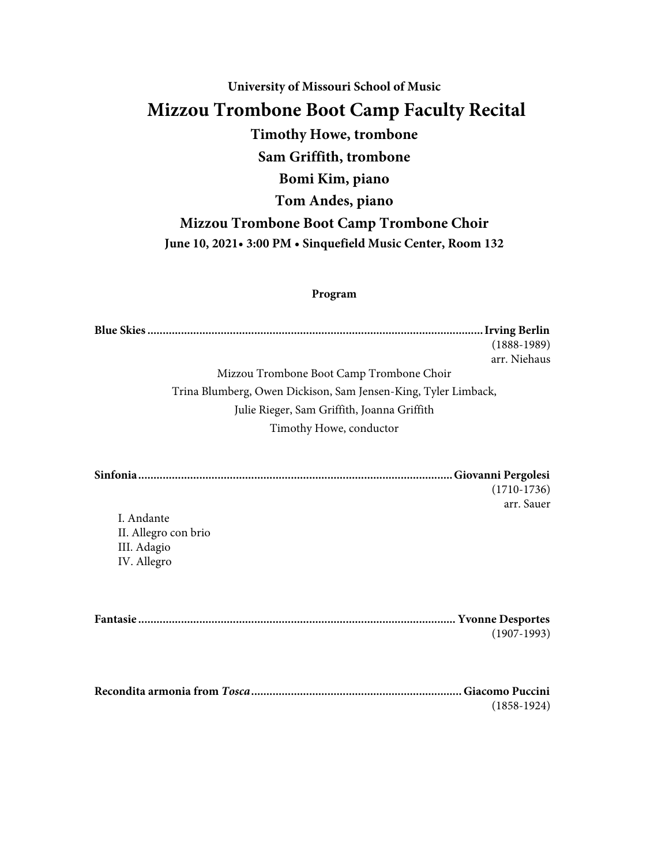## **University of Missouri School of Music Mizzou Trombone Boot Camp Faculty Recital Timothy Howe, trombone Sam Griffith, trombone Bomi Kim, piano Tom Andes, piano Mizzou Trombone Boot Camp Trombone Choir June 10, 2021• 3:00 PM • Sinquefield Music Center, Room 132**

## **Program**

|                                                                | $(1888-1989)$ |
|----------------------------------------------------------------|---------------|
|                                                                | arr. Niehaus  |
| Mizzou Trombone Boot Camp Trombone Choir                       |               |
| Trina Blumberg, Owen Dickison, Sam Jensen-King, Tyler Limback, |               |
| Julie Rieger, Sam Griffith, Joanna Griffith                    |               |
| Timothy Howe, conductor                                        |               |
|                                                                | $(1710-1736)$ |
| I. Andante                                                     | arr. Sauer    |
| II. Allegro con brio                                           |               |
| III. Adagio                                                    |               |
| IV. Allegro                                                    |               |
|                                                                |               |
|                                                                |               |
|                                                                | $(1907-1993)$ |
|                                                                |               |
|                                                                | $(1858-1924)$ |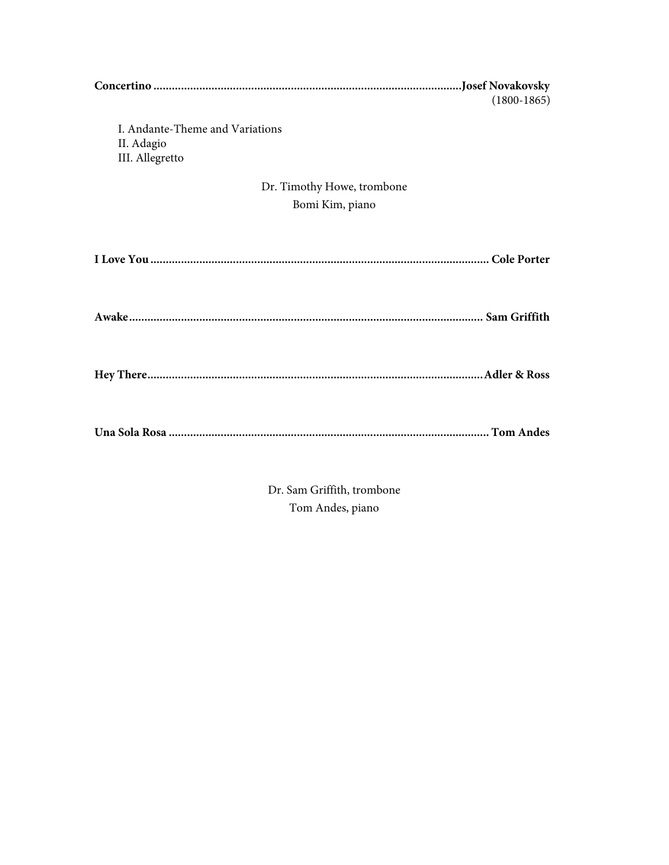| $(1800-1865)$                                                    |
|------------------------------------------------------------------|
| I. Andante-Theme and Variations<br>II. Adagio<br>III. Allegretto |
| Dr. Timothy Howe, trombone                                       |
| Bomi Kim, piano                                                  |
|                                                                  |
|                                                                  |
|                                                                  |
|                                                                  |

Dr. Sam Griffith, trombone Tom Andes, piano